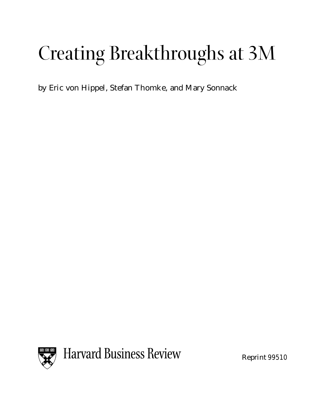# Creating Breakthroughs at 3M

by Eric von Hippel, Stefan Thomke, and Mary Sonnack



Reprint 99510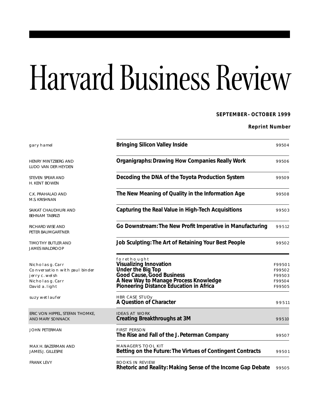# Harvard Business Review

# **SEPTEMBER– OCTOBER 1999**

# **Reprint Number**

| gary hamel                                                                                                | <b>Bringing Silicon Valley Inside</b>                                                                                                                                              | 99504                                          |
|-----------------------------------------------------------------------------------------------------------|------------------------------------------------------------------------------------------------------------------------------------------------------------------------------------|------------------------------------------------|
| HENRY MINTZBERG AND<br>LUDO VAN DER HEYDEN                                                                | <b>Organigraphs: Drawing How Companies Really Work</b>                                                                                                                             | 99506                                          |
| <b>STEVEN SPEAR AND</b><br><b>H. KENT BOWEN</b>                                                           | Decoding the DNA of the Toyota Production System                                                                                                                                   | 99509                                          |
| C.K. PRAHALAD AND<br><b>M.S. KRISHNAN</b>                                                                 | The New Meaning of Quality in the Information Age                                                                                                                                  | 99508                                          |
| SAIKAT CHAUDHURI AND<br><b>BEHNAM TABRIZI</b>                                                             | Capturing the Real Value in High-Tech Acquisitions                                                                                                                                 | 99503                                          |
| RICHARD WISE AND<br>PETER BAUMGARTNER                                                                     | Go Downstream: The New Profit Imperative in Manufacturing                                                                                                                          | 99512                                          |
| <b>TIMOTHY BUTLER AND</b><br><b>JAMES WALDROOP</b>                                                        | Job Sculpting: The Art of Retaining Your Best People                                                                                                                               | 99502                                          |
| Nicholas g. Carr<br>Conversation with paul binder<br>jerry c. welsh<br>Nicholas g. Carr<br>David a. light | forethought<br><b>Visualizing Innovation</b><br>Under the Big Top<br>Good Cause, Good Business<br>A New Way to Manage Process Knowledge<br>Pioneering Distance Education in Africa | F99501<br>F99502<br>F99503<br>F99504<br>F99505 |
| suzy wetlaufer                                                                                            | <b>HBR CASE STUDy</b><br>A Question of Character                                                                                                                                   | 99511                                          |
| ERIC VON HIPPEL, STEFAN THOMKE,<br>AND MARY SONNACK                                                       | <b>IDEAS AT WORK</b><br><b>Creating Breakthroughs at 3M</b>                                                                                                                        | 99510                                          |
| <b>JOHN PETERMAN</b>                                                                                      | <b>FIRST PERSON</b><br>The Rise and Fall of the J. Peterman Company                                                                                                                | 99507                                          |
| <b>MAX H. BAZERMAN AND</b><br><b>JAMES J. GILLESPIE</b>                                                   | MANAGER'S TOOL KIT<br>Betting on the Future: The Virtues of Contingent Contracts                                                                                                   | 99501                                          |
| <b>FRANK LEVY</b>                                                                                         | <b>BOOKS IN REVIEW</b><br>Rhetoric and Reality: Making Sense of the Income Gap Debate                                                                                              | 99505                                          |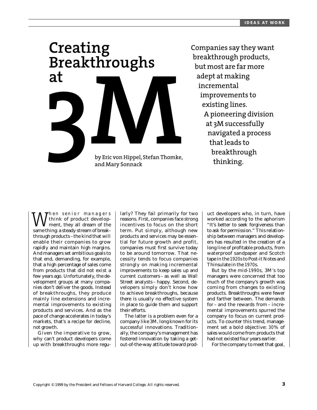

Companies say they want breakthrough products, but most are far more adept at making incremental improvements to existing lines. A pioneering division at 3M successfully navigated a process that leads to breakthrough thinking.

 $\bigvee_{m \in \mathbb{N}} \bigvee_{m \in \mathbb{N}} \bigvee_{m \in \mathbb{N}} \bigvee_{m \in \mathbb{N}} \{ \text{the product} \}$  develop-<br>nent, they all dream of the think of product developsame thing: a steady stream of breakthrough products - the kind that will enable their companies to grow rapidly and maintain high margins. And managers set ambitious goals to that end, demanding, for example, that a high percentage of sales come from products that did not exist a few years ago. Unfortunately, the development groups at many companies don't deliver the goods. Instead of breakthroughs, they produce mainly line extensions and incremental improvements to existing products and services. And as the pace of change accelerates in today's markets, that's a recipe for decline, not growth.

Given the imperative to grow, why can't product developers come up with breakthroughs more regularly? They fail primarily for two reasons. First, companies face strong incentives to focus on the short term. Put simply, although new products and services may be essential for future growth and profit, companies must first survive today to be around tomorrow. That necessity tends to focus companies strongly on making incremental improvements to keep sales up and current customers – as well as Wall Street analysts – happy. Second, developers simply don't know *how* to achieve breakthroughs, because there is usually no effective system in place to guide them and support their efforts.

The latter is a problem even for a company like 3M, long known for its successful innovations. Traditionally, the company's management has fostered innovation by taking a getout-of-the-way attitude toward product developers who, in turn, have worked according to the aphorism "It's better to seek forgiveness than to ask for permission." This relationship between managers and developers has resulted in the creation of a long line of profitable products, from waterproof sandpaper and Scotch tape in the 1920s to Post-it Notes and Thinsulate in the 1970s.

But by the mid-1990s, 3M's top managers were concerned that too much of the company's growth was coming from changes to existing products. Breakthroughs were fewer and farther between. The demands for – and the rewards from – incremental improvements spurred the company to focus on current products. To counter this trend, management set a bold objective: 30% of sales would come from products that had not existed four years earlier.

For the company to meet that goal,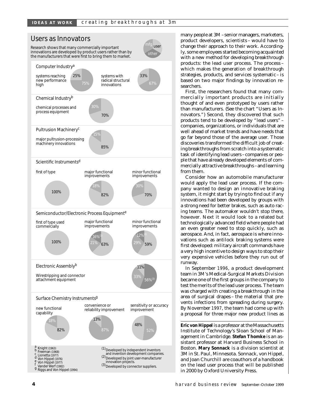

many people at 3M – senior managers, marketers, product developers, scientists – would have to change their approach to their work. Accordingly, some employees started becoming acquainted with a new method for developing breakthrough products: the *lead user process.* The process – which makes the generation of breakthrough strategies, products, and services systematic – is based on two major findings by innovation researchers.

First, the researchers found that many commercially important products are initially thought of and even prototyped by users rather than manufacturers. (See the chart "Users as Innovators.") Second, they discovered that such products tend to be developed by "lead users" – companies, organizations, or individuals that are well ahead of market trends and have needs that go far beyond those of the average user. Those discoveries transformed the difficult job of creating breakthroughs from scratch into a systematic task of identifying lead users – companies or people that have already developed elements of commercially attractive breakthroughs –and learning from them.

Consider how an automobile manufacturer would apply the lead user process. If the company wanted to design an innovative braking system, it might start by trying to find out if any innovations had been developed by groups with a strong need for better brakes, such as auto racing teams. The automaker wouldn't stop there, however. Next it would look to a related but technologically advanced field where people had an even greater need to stop quickly, such as aerospace. And, in fact, aerospace is where innovations such as antilock braking systems were first developed: military aircraft commands have a very high incentive to design ways to stop their very expensive vehicles before they run out of runway.

In September 1996, a product development team in 3M's Medical-Surgical Markets Division became one of the first groups in the company to test the merits of the lead user process. The team was charged with creating a breakthrough in the area of surgical drapes – the material that prevents infections from spreading during surgery. By November 1997, the team had come up with a proposal for three major new product lines as

*Eric von Hippelis a professor at the Massachusetts Institute of Technology's Sloan School of Management in Cambridge. Stefan Thomke is an assistant professor at Harvard Business School in Boston. Mary Sonnack is a division scientist at 3M in St. Paul, Minnesota. Sonnack, von Hippel, and Joan Churchill are coauthors of a handbook on the lead user process that will be published in 2000 by Oxford University Press.*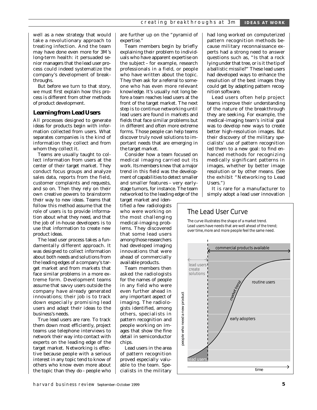well as a new strategy that would take a revolutionary approach to treating infection. And the team may have done even more for 3M's long-term health: it persuaded senior managers that the lead user process could indeed systematize the company's development of breakthroughs.

But before we turn to that story, we must first explain how this process is different from other methods of product development.

# **Learning from Lead Users**

All processes designed to generate ideas for products begin with information collected from users. What separates companies is the kind of information they collect and from whom they collect it.

Teams are usually taught to collect information from users at the center of their target market. They conduct focus groups and analyze sales data, reports from the field, customer complaints and requests, and so on. Then they rely on their own creative powers to brainstorm their way to new ideas. Teams that follow this method assume that the role of users is to provide information about what they need, and that the job of in-house developers is to use that information to create new product ideas.

The lead user process takes a fundamentally different approach. It was designed to collect information about both needs and solutions from the leading edges of a company's target market and from markets that face similar problems in a more extreme form. Development teams assume that savvy users outside the company have already generated innovations; their job is to track down especially promising lead users and adapt their ideas to the business's needs.

True lead users are rare. To track them down most efficiently, project teams use telephone interviews to network their way into contact with experts on the leading edge of the target market. Networking is effective because people with a serious interest in any topic tend to know of others who know even more about the topic than they do – people who are further up on the "pyramid of expertise."

Team members begin by briefly explaining their problem to individuals who have apparent expertise on the subject – for example, research professionals in a field, or people who have written about the topic. They then ask for a referral to someone who has even more relevant knowledge. It's usually not long before a team reaches lead users at the front of the target market. The next step is to continue networking until lead users are found in markets and fields that face similar problems but in different and often more extreme forms. Those people can help teams discover truly novel solutions to important needs that are emerging in the target market.

Consider how a team focused on medical imaging carried out its work. Its members knew that a major trend in this field was the development of capabilities to detect smaller and smaller features – very earlystage tumors, for instance. The team networked to the leading edge of the

target market and identified a few radiologists who were working on the most challenging medical-imaging problems. They discovered that some lead users among those researchers had developed imaging innovations that were ahead of commercially available products.

Team members then asked the radiologists for the names of people in any field who were even further ahead in *any* important aspect of imaging. The radiologists identified, among others, specialists in pattern recognition and people working on images that show the fine detail in semiconductor chips.

Lead users in the area of pattern recognition proved especially valuable to the team. Specialists in the military had long worked on computerized pattern recognition methods because military reconnaissance experts had a strong need to answer questions such as, "Is that a rock lying under that tree, or is it the tip of a ballistic missile?" These lead users had developed ways to enhance the resolution of the best images they could get by adapting pattern recognition software.

Lead users often help project teams improve their understanding of the nature of the breakthrough they are seeking. For example, the medical-imaging team's initial goal was to develop new ways to create better high-resolution images. But their discovery of the military specialists' use of pattern recognition led them to a new goal: to find enhanced methods for recognizing medically significant patterns in images, whether by better image resolution or by other means. (See the exhibit "Networking to Lead Users.")

It is rare for a manufacturer to simply adopt a lead user innovation

# The Lead User Curve

The curve illustrates the shape of a market trend. Lead users have needs that are well ahead of the trend; over time, more and more people feel the same need.

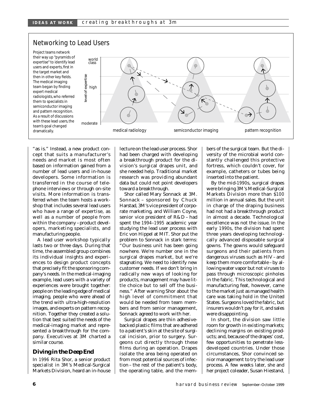# Networking to Lead Users



"as is." Instead, a new product concept that suits a manufacturer's needs and market is most often based on information gained from a number of lead users and in-house developers. Some information is transferred in the course of telephone interviews or through on-site visits. More information is transferred when the team hosts a workshop that includes several lead users who have a range of expertise, as well as a number of people from within the company –product developers, marketing specialists, and manufacturing people.

A lead user workshop typically lasts two or three days. During that time, the assembled group combines its individual insights and experiences to design product concepts that precisely fit the sponsoring company's needs. In the medical-imaging example, lead users with a variety of experiences were brought together: people on the leading edge of medical imaging, people who were ahead of the trend with ultra-high-resolution images, and experts on pattern recognition. Together they created a solution that best suited the needs of the medical-imaging market and represented a breakthrough for the company. Executives at 3M charted a similar course.

## **Diving in the Deep End**

In 1996 Rita Shor, a senior product specialist in 3M's Medical-Surgical Markets Division, heard an in-house lecture on the lead user process. Shor had been charged with developing a breakthrough product for the division's surgical drapes unit, and she needed help. Traditional market research was providing abundant data but could not point developers toward a breakthrough.

Shor called Mary Sonnack at 3M. Sonnack – sponsored by Chuck Harstad, 3M's vice president of corporate marketing, and William Coyne, senior vice president of R&D – had spent the 1994–1995 academic year studying the lead user process with Eric von Hippel at MIT. Shor put the problem to Sonnack in stark terms: "Our business unit has been going nowhere. We're number one in the surgical drapes market, but we're stagnating. We need to identify new customer needs. If we don't bring in radically new ways of looking for products, management may have little choice but to sell off the business." After warning Shor about the high level of commitment that would be needed from team members and from senior management, Sonnack agreed to work with her.

Surgical drapes are thin adhesivebacked plastic films that are adhered to a patient's skin at the site of surgical incision, prior to surgery. Surgeons cut directly through these films during an operation. Drapes isolate the area being operated on from most potential sources of infection – the rest of the patient's body, the operating table, and the members of the surgical team. But the diversity of the microbial world constantly challenged this protective fortress, which couldn't cover, for example, catheters or tubes being inserted into the patient.

By the mid-1990s, surgical drapes were bringing 3M's Medical-Surgical Markets Division more than \$100 million in annual sales. But the unit in charge of the draping business had not had a breakthrough product in almost a decade. Technological excellence was not the issue. In the early 1990s, the division had spent three years developing technologically advanced disposable surgical gowns. The gowns would safeguard surgeons and their patients from dangerous viruses such as HIV – and keep them more comfortable – by allowing water vapor but not viruses to pass through microscopic pinholes in the fabric. This technological and manufacturing feat, however, came to the market just as managed health care was taking hold in the United States. Surgeons loved the fabric, but insurers wouldn't pay for it, and sales were disappointing.

In short, the division saw little room for growth in existing markets; declining margins on existing products; and, because of the drapes' cost, few opportunities to penetrate lessdeveloped countries. Under those circumstances, Shor convinced senior management to try the lead user process. A few weeks later, she and her project coleader, Susan Hiestand,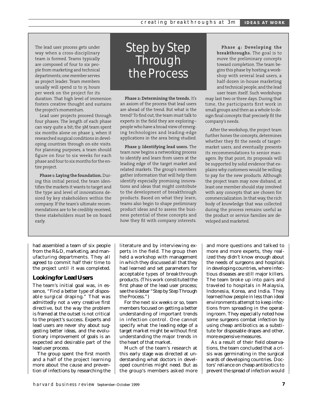The lead user process gets under way when a cross-disciplinary team is formed. Teams typically are composed of four to six people from marketing and technical departments; one member serves as project leader. Team members usually will spend 12 to 15 hours per week on the project for its

duration. That high level of immersion fosters creative thought and sustains the project's momentum.

Lead user projects proceed through four phases. The length of each phase can vary quite a bit; the 3M team spent six months alone on phase 3, when it researched surgical conditions in developing countries through on-site visits. For planning purposes, a team should figure on four to six weeks for each phase and four to six months for the entire project.

**Phase 1: Laying the foundation.** During this initial period, the team identifies the markets it wants to target and the type and level of innovations desired by key stakeholders within the company. If the team's ultimate recommendations are to be credibly received, these stakeholders must be on board early.

# Step by Step **Through** the Process

**Phase 2: Determining the trends.** It's an axiom of the process that lead users are ahead of the trend. But what is the trend? To find out, the team must talk to experts in the field they are exploring– people who have a broad view of emerging technologies and leading-edge applications in the area being studied.

**Phase 3: Identifying lead users.** The team now begins a networking process to identify and learn from users at the leading edge of the target market and related markets. The group's members gather information that will help them identify especially promising innovations and ideas that might contribute to the development of breakthrough products. Based on what they learn, teams also begin to shape preliminary product ideas and to assess the business potential of these concepts and how they fit with company interests.

**Phase 4: Developing the breakthroughs.** The goal is to move the preliminary concepts toward completion. The team begins this phase by hosting a workshop with several lead users, a half-dozen in-house marketing and technical people, and the lead user team itself. Such workshops

may last two or three days. During that time, the participants first work in small groups and then as a whole to design final concepts that precisely fit the company's needs.

After the workshop, the project team further hones the concepts, determines whether they fit the needs of targetmarket users, and eventually presents its recommendations to senior managers. By that point, its proposals will be supported by solid evidence that explains why customers would be willing to pay for the new products. Although the project team may now disband, at least one member should stay involved with any concepts that are chosen for commercialization. In that way, the rich body of knowledge that was collected during the process remains useful as the product or service families are developed and marketed.

had assembled a team of six people from the R&D, marketing, and manufacturing departments. They all agreed to commit half their time to the project until it was completed.

# **Looking for Lead Users**

The team's initial goal was, in essence, "Find a better type of disposable surgical draping." That was admittedly not a very creative first directive, but the way the problem is framed at the outset is not critical to the project's success. Experts and lead users are never shy about suggesting better ideas, and the evolutionary improvement of goals is an expected and desirable part of the lead user process.

The group spent the first month and a half of the project learning more about the cause and prevention of infections by researching the literature and by interviewing experts in the field. The group then held a workshop with management in which they discussed all that they had learned and set parameters for acceptable types of breakthrough products. (This work constituted the first phase of the lead user process; see the sidebar "Step by Step Through the Process.")

For the next six weeks or so, team members focused on getting a better understanding of important trends in infection control. One cannot specify what the leading edge of a target market might be without first understanding the major trends in the heart of that market.

Much of the team's research at this early stage was directed at understanding what doctors in developed countries might need. But as the group's members asked more

and more questions and talked to more and more experts, they realized they didn't know enough about the needs of surgeons and hospitals in developing countries, where infectious diseases are still major killers. The team broke up into pairs and traveled to hospitals in Malaysia, Indonesia, Korea, and India. They learned how people in less than ideal environments attempt to keep infections from spreading in the operating room. They especially noted how some surgeons combat infection by using cheap antibiotics as a substitute for disposable drapes and other, more expensive measures.

As a result of their field observations, the team concluded that a crisis was germinating in the surgical wards of developing countries. Doctors' reliance on cheap antibiotics to prevent the spread of infection would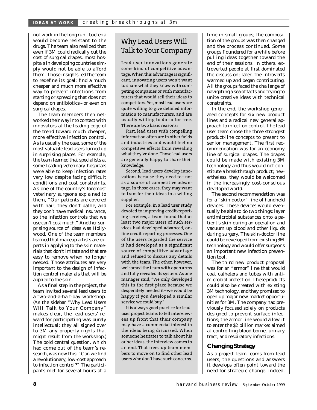not work in the long run –bacteria would become resistant to the drugs. The team also realized that even if 3M could radically cut the cost of surgical drapes, most hospitals in developing countries simply would not be able to afford them. Those insights led the team to redefine its goal: find a much cheaper and much more effective way to prevent infections from starting or spreading that does not depend on antibiotics – or even on surgical drapes.

The team members then networked their way into contact with innovators at the leading edge of the trend toward much cheaper, more effective infection control. As is usually the case, some of the most valuable lead users turned up in surprising places. For example, the team learned that specialists at some leading veterinary hospitals were able to keep infection rates very low despite facing difficult conditions and cost constraints. As one of the country's foremost veterinary surgeons explained to them, "Our patients are covered with hair, they don't bathe, and they don't have medical insurance, so the infection controls that we use can't cost much." Another surprising source of ideas was Hollywood. One of the team members learned that makeup artists are experts in applying to the skin materials that don't irritate and that are easy to remove when no longer needed. Those attributes are very important to the design of infection control materials that will be applied to the skin.

As a final step in the project, the team invited several lead users to a two-and-a-half-day workshop. (As the sidebar "Why Lead Users Will Talk to Your Company" makes clear, the lead users' reward for participating was purely intellectual; they all signed over to 3M any property rights that might result from the workshop.) The bold central question, which had come out of the team's research, was now this: "Can we find a revolutionary, low-cost approach to infection control?" The participants met for several hours at a

# Why Lead Users Will Talk to Your Company

Lead user innovations generate some kind of competitive advantage. When this advantage is significant, innovating users won't want to share what they know with competing companies or with manufacturers that would sell their ideas to competitors. Yet, most lead users are quite willing to give detailed information to manufacturers, and are usually willing to do so for free. There are two basic reasons:

First, lead users with compelling information often are in other fields and industries and would feel no competitive effects from revealing what they've done. Those lead users are generally happy to share their knowledge.

Second, lead users develop innovations because they need to-not as a source of competitive advantage. In those cases, they may want to transfer their ideas to a willing supplier.

For example, in a lead user study devoted to improving credit-reporting services, a team found that at least two major users of such services had developed advanced, online credit-reporting processes. One of the users regarded the service it had developed as a significant source of competitive advantage and refused to discuss any details with the team. The other, however, welcomed the team with open arms and fully revealed its system. As one manager said, "We only developed this in the first place because we desperately needed it–we would be happy if you developed a similar service we could buy."

It is always good practice for leaduser project teams to tell interviewees up front that their company may have a commercial interest in the ideas being discussed. When someone hesitates to talk about his or her ideas, the interview comes to an end. That frees up team members to move on to find other lead users who don't have such concerns.

time in small groups; the composition of the groups was then changed and the process continued. Some groups floundered for a while before pulling ideas together toward the end of their sessions. In others, extroverted people at first dominated the discussion; later, the introverts warmed up and began contributing. All the groups faced the challenge of navigating a sea of facts and trying to unite creative ideas with technical constraints.

In the end, the workshop generated concepts for six new product lines and a radical new general approach to infection control. The lead user team chose the three strongest product-line concepts to present to senior management. The first recommendation was for an economy line of surgical drapes. The drapes could be made with existing 3M technology and thus would not constitute a breakthrough product; nevertheless, they would be welcomed in the increasingly cost-conscious developed world.

The second recommendation was for a "skin doctor" line of handheld devices. These devices would eventually be able to do two things: layer antimicrobial substances onto a patient's skin during an operation and vacuum up blood and other liquids during surgery. The skin-doctor line could be developed from existing 3M technology and would offer surgeons an important new infection prevention tool.

The third new product proposal was for an "armor" line that would coat catheters and tubes with antimicrobial protection. These products could also be created with existing 3M technology, and they promised to open up major new market opportunities for 3M. The company had previously focused solely on products designed to prevent surface infections; the armor line would allow it to enter the \$2 billion market aimed at controlling blood-borne, urinary tract, and respiratory infections.

# **Changing Strategy**

As a project team learns from lead users, the questions and answers it develops often point toward the need for strategic change. Indeed,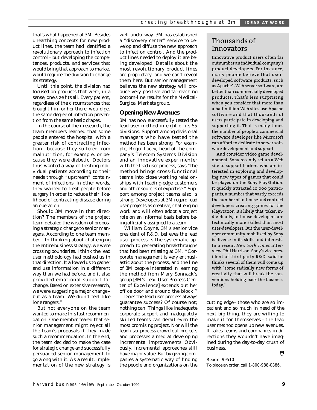that's what happened at 3M. Besides unearthing concepts for new product lines, the team had identified a revolutionary approach to infection control – but developing the competences, products, and services that would bring that approach to market would require the division to change its strategy.

Until this point, the division had focused on products that were, in a sense, one size fits all. Every patient, regardless of the circumstances that brought him or her there, would get the same degree of infection prevention from the same basic drapes.

In the course of their research, the team members learned that some people entered the hospital with a greater risk of contracting infection – because they suffered from malnutrition, for example, or because they were diabetic. Doctors thus wanted a way of treating individual patients according to their needs through "upstream" containment of infections. In other words, they wanted to treat people before surgery in order to reduce their likelihood of contracting disease during an operation.

Should 3M move in that direction? The members of the project team debated the wisdom of proposing a strategic change to senior managers. According to one team member, "In thinking about challenging the entire business strategy, we were crossing boundaries. I think the lead user methodology had pushed us in that direction. It allowed us to gather and use information in a different way than we had before, and it also provided emotional support for change. Based on extensive research, we were suggesting a major change – but as a team. We didn't feel like lone rangers."

But not everyone on the team wanted to make this last recommendation. One member feared that senior management might reject all the team's proposals if they made such a recommendation. In the end, the team decided to make the case for strategic change and successfully persuaded senior management to go along with it. As a result, implementation of the new strategy is

well under way. 3M has established a "discovery center" service to develop and diffuse the new approach to infection control. And the product lines needed to deploy it are being developed. Details about the most revolutionary product lines are proprietary, and we can't reveal them here. But senior management believes the new strategy will produce very positive and far-reaching bottom-line results for the Medical-Surgical Markets group.

# **Opening New Avenues**

3M has now successfully tested the lead user method in eight of its 55 divisions. Support among divisional managers who have tested the method has been strong. For example, Roger Lacey, head of the company's Telecom Systems Division and an innovative experimenter with the lead user process, says "the method brings cross-functional teams into close working relationships with leading-edge customers and other sources of expertise." Support among project teams also is strong. Developers at 3M regard lead user projects as creative, challenging work and will often adopt a project role on an informal basis before being officially assigned to a team.

William Coyne, 3M's senior vice president of R&D, believes the lead user process is the systematic approach to generating breakthroughs that had been missing at 3M. "Corporate management is very enthusiastic about the process, and the line of 3M people interested in learning the method from Mary Sonnack's group [3M's Lead User Process Center of Excellence] extends out her office door and around the block.''

Does the lead user process always guarantee success? Of course not; nothing can. Things like inadequate corporate support and inadequately skilled teams can derail even the most promising project. Nor will the lead user process crowd out projects and processes aimed at developing incremental improvements. Obviously, incremental approaches still have major value. But by giving companies a systematic way of finding the people and organizations on the

# Thousands of Innovators

Innovative product users often far outnumber an individual company's product developers. For instance, many people believe that userdeveloped software products, such as Apache's Web server software, are better than commercially developed products. That's less surprising when you consider that more than a half million Web sites use Apache software and that thousands of users participate in developing and supporting it. That is many times the number of people a commercial software developer like Microsoft can afford to dedicate to server software development and support.

And consider video game development. Sony recently set up a Web site to support hackers who are interested in exploring and developing new types of games that could be played on the Sony PlayStation. It quickly attracted 10,000 participants, a number that vastly exceeds the number of in-house and contract developers creating games for the PlayStation. It's likely that, taken individually, in-house developers are technically more skilled than most user-developers. But the user-developer community mobilized by Sony is diverse in its skills and interests. In a recent *New York Times* interview, Phil Harrison, Sony's vice president of third-party R&D, said he thinks several of them will come up with "some radically new forms of creativity that will break the conventions holding back the business today."

cutting edge – those who are so impatient and so much in need of the next big thing, they are willing to make it for themselves – the lead user method opens up new avenues. It takes teams and companies in directions they wouldn't have imagined during the day-to-day crush of business.

A.

# Reprint 99510

To place an order, call 1-800-988-0886.